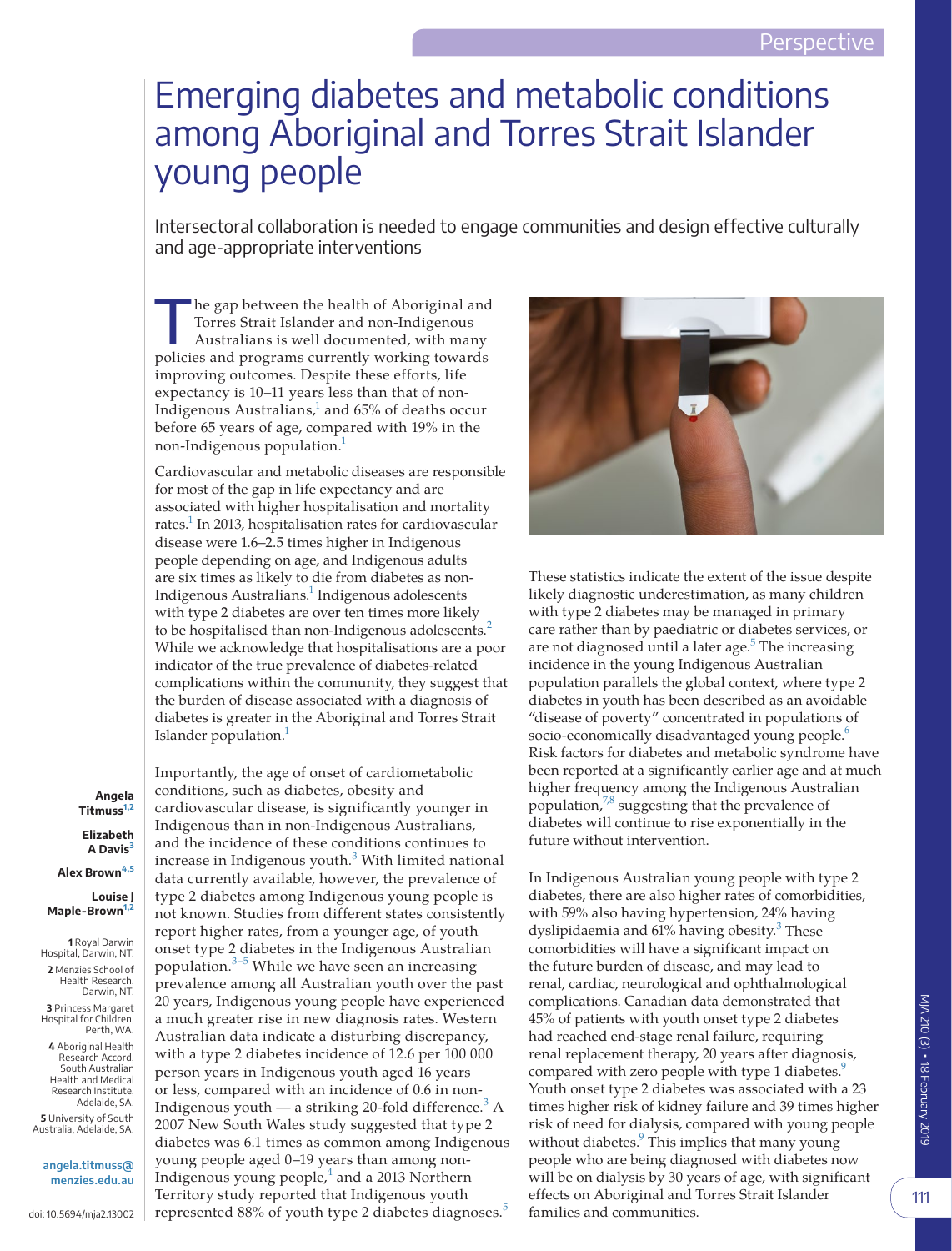## Emerging diabetes and metabolic conditions among Aboriginal and Torres Strait Islander young people

Intersectoral collaboration is needed to engage communities and design effective culturally and age-appropriate interventions

The gap between the health of Aboriginal and Torres Strait Islander and non-Indigenous Australians is well documented, with many policies and programs currently working towards improving outcomes. Despite these efforts, life expectancy is 10–11 years less than that of non-Indigenous Australians, $1$  and 65% of deaths occur before 65 years of age, compared with 19% in the non-Indigenous population.<sup>[1](#page-3-0)</sup>

Cardiovascular and metabolic diseases are responsible for most of the gap in life expectancy and are associated with higher hospitalisation and mortality rates.<sup>1</sup> In 2013, hospitalisation rates for cardiovascular disease were 1.6–2.5 times higher in Indigenous people depending on age, and Indigenous adults are six times as likely to die from diabetes as non-Indigenous Australians.<sup>1</sup> Indigenous adolescents with type 2 diabetes are over ten times more likely to be hospitalised than non-Indigenous adolescents.<sup>[2](#page-3-1)</sup> While we acknowledge that hospitalisations are a poor indicator of the true prevalence of diabetes-related complications within the community, they suggest that the burden of disease associated with a diagnosis of diabetes is greater in the Aboriginal and Torres Strait Islander population.<sup>1</sup>

**Angela Titmuss[1,2](#page-0-0) Elizabeth A Davis[3](#page-0-1) Alex Brown[4,5](#page-0-2)**

<span id="page-0-0"></span>**Louise J Maple-Brown[1,2](#page-0-0)**

<span id="page-0-2"></span><span id="page-0-1"></span>**1** Royal Darwin Hospital, Darwin, NT. **2** Menzies School of Health Research, Darwin, NT. **3** Princess Margaret Hospital for Children, Perth, WA. **4** Aboriginal Health Research Accord, South Australian Health and Medical Research Institute, Adelaide, SA. **5** University of South Australia, Adelaide, SA.

**[angela.titmuss@](mailto:angela.titmuss@menzies.edu.au) [menzies.edu.au](mailto:angela.titmuss@menzies.edu.au)** Importantly, the age of onset of cardiometabolic conditions, such as diabetes, obesity and cardiovascular disease, is significantly younger in Indigenous than in non-Indigenous Australians, and the incidence of these conditions continues to increase in Indigenous youth.<sup>[3](#page-3-2)</sup> With limited national data currently available, however, the prevalence of type 2 diabetes among Indigenous young people is not known. Studies from different states consistently report higher rates, from a younger age, of youth onset type 2 diabetes in the Indigenous Australian population.[3–5](#page-3-2) While we have seen an increasing prevalence among all Australian youth over the past 20 years, Indigenous young people have experienced a much greater rise in new diagnosis rates. Western Australian data indicate a disturbing discrepancy, with a type 2 diabetes incidence of 12.6 per 100 000 person years in Indigenous youth aged 16 years or less, compared with an incidence of 0.6 in non-Indigenous youth — a striking 20-fold difference.<sup>[3](#page-3-2)</sup> A 2007 New South Wales study suggested that type 2 diabetes was 6.1 times as common among Indigenous young people aged 0–19 years than among non-Indigenous young people,<sup>[4](#page-3-3)</sup> and a 2013 Northern Territory study reported that Indigenous youth represented 88% of youth type 2 diabetes diagnoses.<sup>[5](#page-3-4)</sup>



These statistics indicate the extent of the issue despite likely diagnostic underestimation, as many children with type 2 diabetes may be managed in primary care rather than by paediatric or diabetes services, or are not diagnosed until a later age.<sup>[5](#page-3-4)</sup> The increasing incidence in the young Indigenous Australian population parallels the global context, where type 2 diabetes in youth has been described as an avoidable "disease of poverty" concentrated in populations of socio-economically disadvantaged young people.<sup>6</sup> Risk factors for diabetes and metabolic syndrome have been reported at a significantly earlier age and at much higher frequency among the Indigenous Australian population, $78$  suggesting that the prevalence of diabetes will continue to rise exponentially in the future without intervention.

In Indigenous Australian young people with type 2 diabetes, there are also higher rates of comorbidities, with 59% also having hypertension, 24% having dyslipidaemia and 61% having obesity.<sup>[3](#page-3-2)</sup> These comorbidities will have a significant impact on the future burden of disease, and may lead to renal, cardiac, neurological and ophthalmological complications. Canadian data demonstrated that 45% of patients with youth onset type 2 diabetes had reached end-stage renal failure, requiring renal replacement therapy, 20 years after diagnosis, compared with zero people with type 1 diabetes.<sup>9</sup> Youth onset type 2 diabetes was associated with a 23 times higher risk of kidney failure and 39 times higher risk of need for dialysis, compared with young people without diabetes.<sup>9</sup> This implies that many young people who are being diagnosed with diabetes now will be on dialysis by 30 years of age, with significant effects on Aboriginal and Torres Strait Islander families and communities.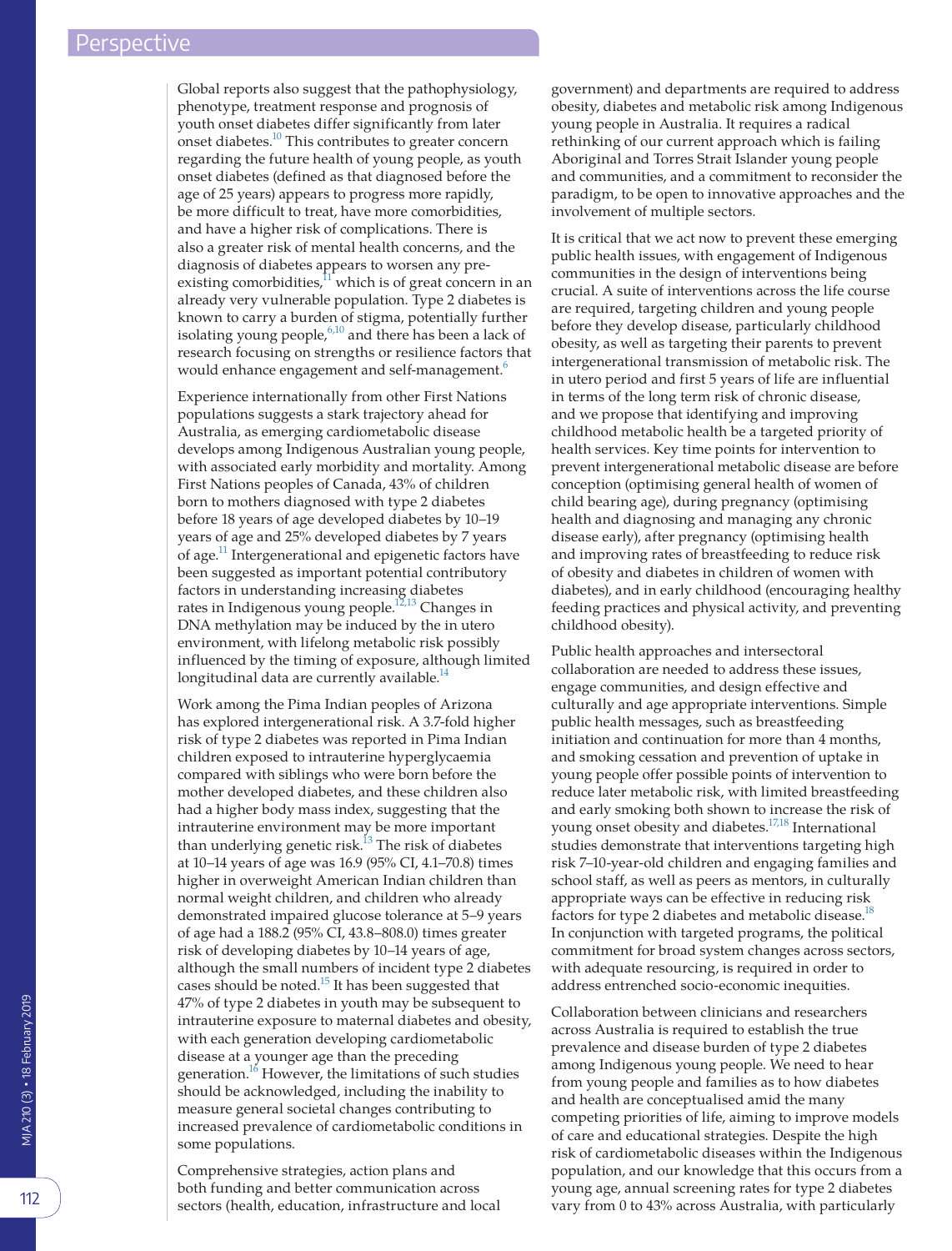Global reports also suggest that the pathophysiology, phenotype, treatment response and prognosis of youth onset diabetes differ significantly from later onset diabetes[.10](#page-3-8) This contributes to greater concern regarding the future health of young people, as youth onset diabetes (defined as that diagnosed before the age of 25 years) appears to progress more rapidly, be more difficult to treat, have more comorbidities, and have a higher risk of complications. There is also a greater risk of mental health concerns, and the diagnosis of diabetes appears to worsen any preexisting comorbidities, $\frac{1}{11}$  which is of great concern in an already very vulnerable population. Type 2 diabetes is known to carry a burden of stigma, potentially further isolating young people, $6,10$  and there has been a lack of research focusing on strengths or resilience factors that would enhance engagement and self-management.<sup>[6](#page-3-5)</sup>

Experience internationally from other First Nations populations suggests a stark trajectory ahead for Australia, as emerging cardiometabolic disease develops among Indigenous Australian young people, with associated early morbidity and mortality. Among First Nations peoples of Canada, 43% of children born to mothers diagnosed with type 2 diabetes before 18 years of age developed diabetes by 10–19 years of age and 25% developed diabetes by 7 years of age. $^{11}$  Intergenerational and epigenetic factors have been suggested as important potential contributory factors in understanding increasing diabetes rates in Indigenous young people.<sup>12,13</sup> Changes in DNA methylation may be induced by the in utero environment, with lifelong metabolic risk possibly influenced by the timing of exposure, although limited longitudinal data are currently available.<sup>14</sup>

Work among the Pima Indian peoples of Arizona has explored intergenerational risk. A 3.7-fold higher risk of type 2 diabetes was reported in Pima Indian children exposed to intrauterine hyperglycaemia compared with siblings who were born before the mother developed diabetes, and these children also had a higher body mass index, suggesting that the intrauterine environment may be more important than underlying genetic risk.<sup>13</sup> The risk of diabetes at 10–14 years of age was 16.9 (95% CI, 4.1–70.8) times higher in overweight American Indian children than normal weight children, and children who already demonstrated impaired glucose tolerance at 5–9 years of age had a 188.2 (95% CI, 43.8–808.0) times greater risk of developing diabetes by 10–14 years of age, although the small numbers of incident type 2 diabetes cases should be noted. $^{15}$  It has been suggested that 47% of type 2 diabetes in youth may be subsequent to intrauterine exposure to maternal diabetes and obesity, with each generation developing cardiometabolic disease at a younger age than the preceding generation.<sup>16</sup> However, the limitations of such studies should be acknowledged, including the inability to measure general societal changes contributing to increased prevalence of cardiometabolic conditions in some populations.

Comprehensive strategies, action plans and both funding and better communication across sectors (health, education, infrastructure and local government) and departments are required to address obesity, diabetes and metabolic risk among Indigenous young people in Australia. It requires a radical rethinking of our current approach which is failing Aboriginal and Torres Strait Islander young people and communities, and a commitment to reconsider the paradigm, to be open to innovative approaches and the involvement of multiple sectors.

It is critical that we act now to prevent these emerging public health issues, with engagement of Indigenous communities in the design of interventions being crucial. A suite of interventions across the life course are required, targeting children and young people before they develop disease, particularly childhood obesity, as well as targeting their parents to prevent intergenerational transmission of metabolic risk. The in utero period and first 5 years of life are influential in terms of the long term risk of chronic disease, and we propose that identifying and improving childhood metabolic health be a targeted priority of health services. Key time points for intervention to prevent intergenerational metabolic disease are before conception (optimising general health of women of child bearing age), during pregnancy (optimising health and diagnosing and managing any chronic disease early), after pregnancy (optimising health and improving rates of breastfeeding to reduce risk of obesity and diabetes in children of women with diabetes), and in early childhood (encouraging healthy feeding practices and physical activity, and preventing childhood obesity).

Public health approaches and intersectoral collaboration are needed to address these issues, engage communities, and design effective and culturally and age appropriate interventions. Simple public health messages, such as breastfeeding initiation and continuation for more than 4 months, and smoking cessation and prevention of uptake in young people offer possible points of intervention to reduce later metabolic risk, with limited breastfeeding and early smoking both shown to increase the risk of young onset obesity and diabetes.<sup>17,18</sup> International studies demonstrate that interventions targeting high risk 7–10-year-old children and engaging families and school staff, as well as peers as mentors, in culturally appropriate ways can be effective in reducing risk factors for type 2 diabetes and metabolic disease.<sup>18</sup> In conjunction with targeted programs, the political commitment for broad system changes across sectors, with adequate resourcing, is required in order to address entrenched socio-economic inequities.

Collaboration between clinicians and researchers across Australia is required to establish the true prevalence and disease burden of type 2 diabetes among Indigenous young people. We need to hear from young people and families as to how diabetes and health are conceptualised amid the many competing priorities of life, aiming to improve models of care and educational strategies. Despite the high risk of cardiometabolic diseases within the Indigenous population, and our knowledge that this occurs from a young age, annual screening rates for type 2 diabetes vary from 0 to 43% across Australia, with particularly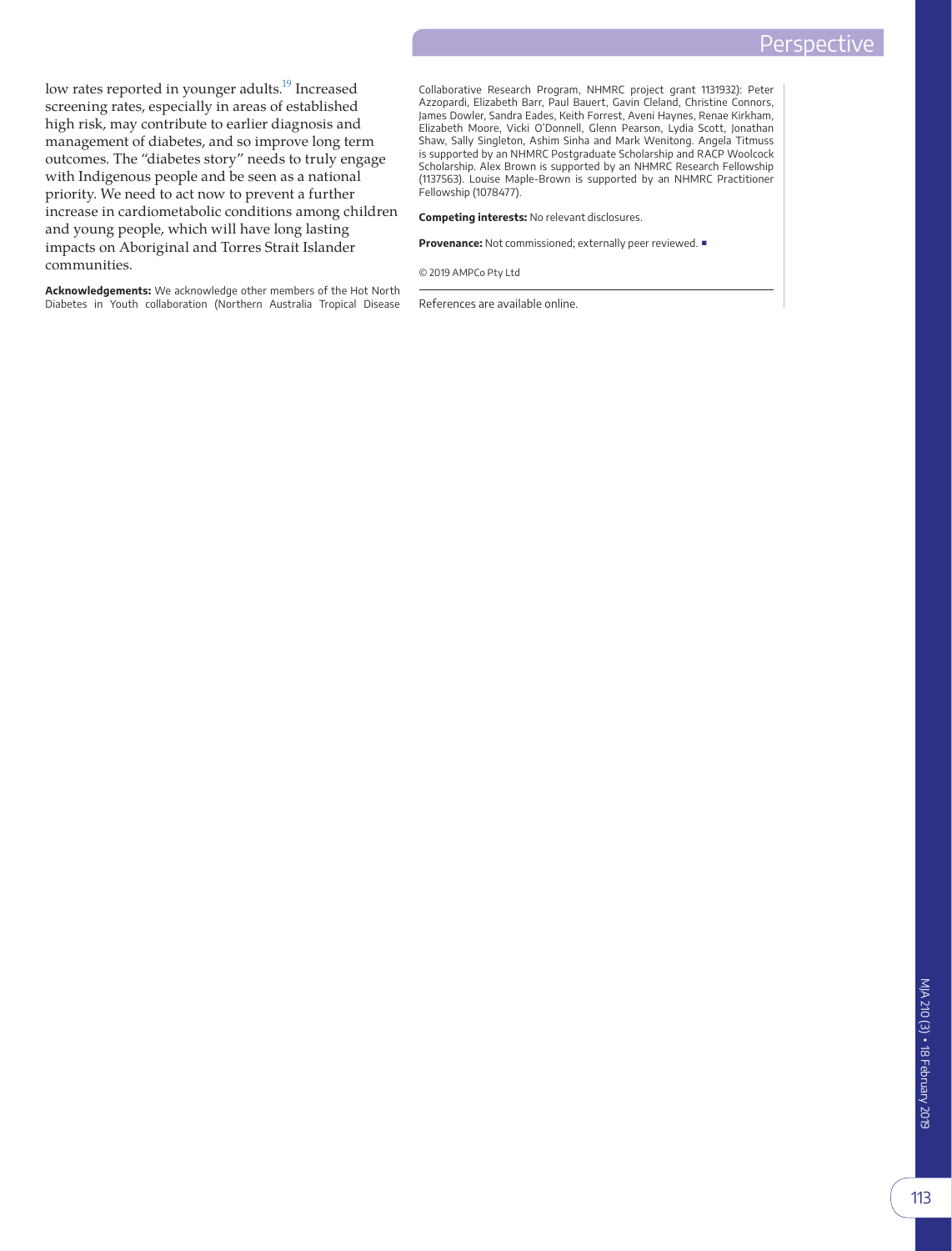low rates reported in younger adults.<sup>19</sup> Increased screening rates, especially in areas of established high risk, may contribute to earlier diagnosis and management of diabetes, and so improve long term outcomes. The "diabetes story" needs to truly engage with Indigenous people and be seen as a national priority. We need to act now to prevent a further increase in cardiometabolic conditions among children and young people, which will have long lasting impacts on Aboriginal and Torres Strait Islander communities.

**Acknowledgements:** We acknowledge other members of the Hot North Diabetes in Youth collaboration (Northern Australia Tropical Disease Collaborative Research Program, NHMRC project grant 1131932): Peter Azzopardi, Elizabeth Barr, Paul Bauert, Gavin Cleland, Christine Connors, James Dowler, Sandra Eades, Keith Forrest, Aveni Haynes, Renae Kirkham, Elizabeth Moore, Vicki O'Donnell, Glenn Pearson, Lydia Scott, Jonathan Shaw, Sally Singleton, Ashim Sinha and Mark Wenitong. Angela Titmuss is supported by an NHMRC Postgraduate Scholarship and RACP Woolcock Scholarship. Alex Brown is supported by an NHMRC Research Fellowship (1137563). Louise Maple-Brown is supported by an NHMRC Practitioner Fellowship (1078477).

**Competing interests:** No relevant disclosures.

**Provenance:** Not commissioned; externally peer reviewed. ■

© 2019 AMPCo Pty Ltd

References are available online.